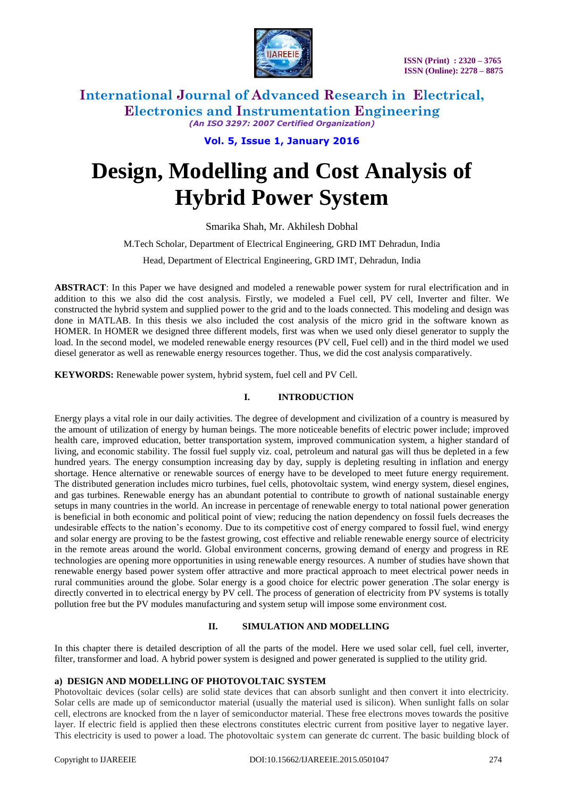

**Vol. 5, Issue 1, January 2016**

# **Design, Modelling and Cost Analysis of Hybrid Power System**

Smarika Shah, Mr. Akhilesh Dobhal

M.Tech Scholar, Department of Electrical Engineering, GRD IMT Dehradun, India

Head, Department of Electrical Engineering, GRD IMT, Dehradun, India

**ABSTRACT**: In this Paper we have designed and modeled a renewable power system for rural electrification and in addition to this we also did the cost analysis. Firstly, we modeled a Fuel cell, PV cell, Inverter and filter. We constructed the hybrid system and supplied power to the grid and to the loads connected. This modeling and design was done in MATLAB. In this thesis we also included the cost analysis of the micro grid in the software known as HOMER. In HOMER we designed three different models, first was when we used only diesel generator to supply the load. In the second model, we modeled renewable energy resources (PV cell, Fuel cell) and in the third model we used diesel generator as well as renewable energy resources together. Thus, we did the cost analysis comparatively.

**KEYWORDS:** Renewable power system, hybrid system, fuel cell and PV Cell.

## **I. INTRODUCTION**

Energy plays a vital role in our daily activities. The degree of development and civilization of a country is measured by the amount of utilization of energy by human beings. The more noticeable benefits of electric power include; improved health care, improved education, better transportation system, improved communication system, a higher standard of living, and economic stability. The fossil fuel supply viz. coal, petroleum and natural gas will thus be depleted in a few hundred years. The energy consumption increasing day by day, supply is depleting resulting in inflation and energy shortage. Hence alternative or renewable sources of energy have to be developed to meet future energy requirement. The distributed generation includes micro turbines, fuel cells, photovoltaic system, wind energy system, diesel engines, and gas turbines. Renewable energy has an abundant potential to contribute to growth of national sustainable energy setups in many countries in the world. An increase in percentage of renewable energy to total national power generation is beneficial in both economic and political point of view; reducing the nation dependency on fossil fuels decreases the undesirable effects to the nation's economy. Due to its competitive cost of energy compared to fossil fuel, wind energy and solar energy are proving to be the fastest growing, cost effective and reliable renewable energy source of electricity in the remote areas around the world. Global environment concerns, growing demand of energy and progress in RE technologies are opening more opportunities in using renewable energy resources. A number of studies have shown that renewable energy based power system offer attractive and more practical approach to meet electrical power needs in rural communities around the globe. Solar energy is a good choice for electric power generation .The solar energy is directly converted in to electrical energy by PV cell. The process of generation of electricity from PV systems is totally pollution free but the PV modules manufacturing and system setup will impose some environment cost.

## **II. SIMULATION AND MODELLING**

In this chapter there is detailed description of all the parts of the model. Here we used solar cell, fuel cell, inverter, filter, transformer and load. A hybrid power system is designed and power generated is supplied to the utility grid.

## **a) DESIGN AND MODELLING OF PHOTOVOLTAIC SYSTEM**

Photovoltaic devices (solar cells) are solid state devices that can absorb sunlight and then convert it into electricity. Solar cells are made up of semiconductor material (usually the material used is silicon). When sunlight falls on solar cell, electrons are knocked from the n layer of semiconductor material. These free electrons moves towards the positive layer. If electric field is applied then these electrons constitutes electric current from positive layer to negative layer. This electricity is used to power a load. The photovoltaic system can generate dc current. The basic building block of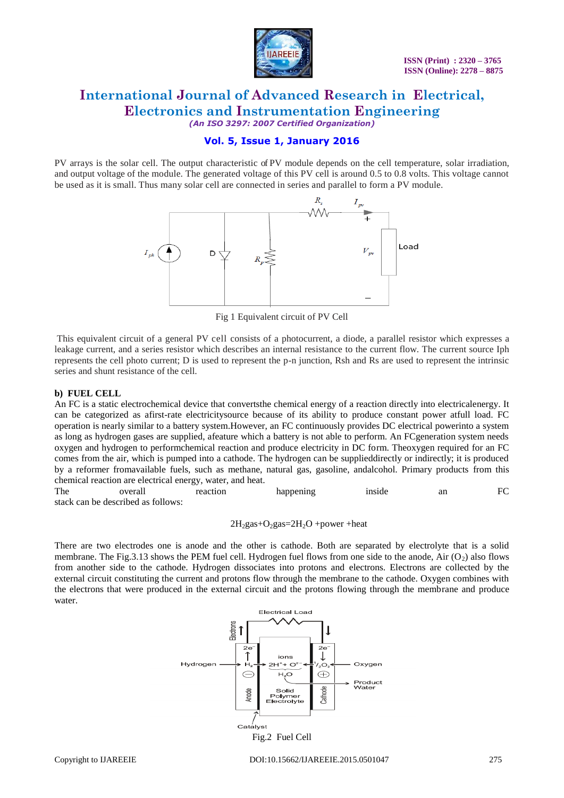

# **Vol. 5, Issue 1, January 2016**

PV arrays is the solar cell. The output characteristic of PV module depends on the cell temperature, solar irradiation, and output voltage of the module. The generated voltage of this PV cell is around 0.5 to 0.8 volts. This voltage cannot be used as it is small. Thus many solar cell are connected in series and parallel to form a PV module.



Fig 1 Equivalent circuit of PV Cell

This equivalent circuit of a general PV cell consists of a photocurrent, a diode, a parallel resistor which expresses a leakage current, and a series resistor which describes an internal resistance to the current flow. The current source Iph represents the cell photo current; D is used to represent the p-n junction, Rsh and Rs are used to represent the intrinsic series and shunt resistance of the cell.

#### **b) FUEL CELL**

An FC is a static electrochemical device that convertsthe chemical energy of a reaction directly into electricalenergy. It can be categorized as afirst-rate electricitysource because of its ability to produce constant power atfull load. FC operation is nearly similar to a battery system.However, an FC continuously provides DC electrical powerinto a system as long as hydrogen gases are supplied, afeature which a battery is not able to perform. An FCgeneration system needs oxygen and hydrogen to performchemical reaction and produce electricity in DC form. Theoxygen required for an FC comes from the air, which is pumped into a cathode. The hydrogen can be supplieddirectly or indirectly; it is produced by a reformer fromavailable fuels, such as methane, natural gas, gasoline, andalcohol. Primary products from this chemical reaction are electrical energy, water, and heat.

The overall reaction happening inside an FC stack can be described as follows:

$$
2H_2 gas + O_2 gas = 2H_2O + power + heat
$$

There are two electrodes one is anode and the other is cathode. Both are separated by electrolyte that is a solid membrane. The Fig.3.13 shows the PEM fuel cell. Hydrogen fuel flows from one side to the anode, Air (O<sub>2</sub>) also flows from another side to the cathode. Hydrogen dissociates into protons and electrons. Electrons are collected by the external circuit constituting the current and protons flow through the membrane to the cathode. Oxygen combines with the electrons that were produced in the external circuit and the protons flowing through the membrane and produce water.

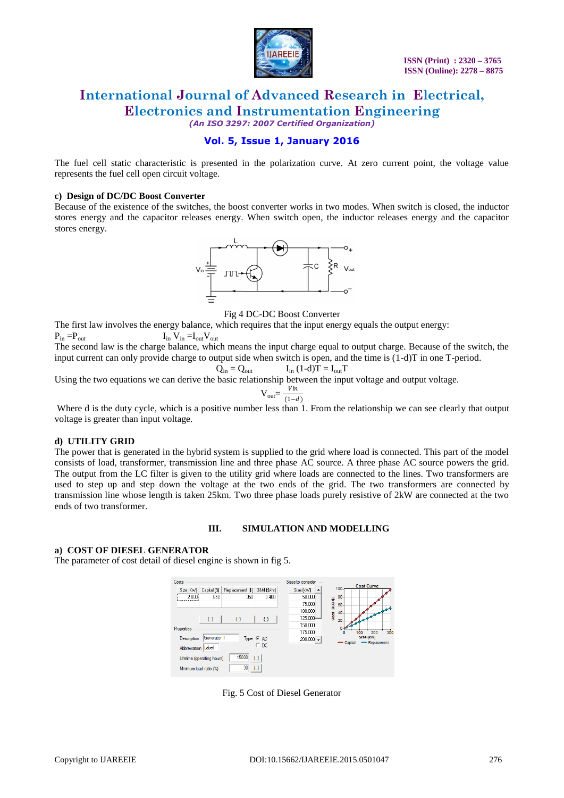

**Vol. 5, Issue 1, January 2016**

The fuel cell static characteristic is presented in the polarization curve. At zero current point, the voltage value represents the fuel cell open circuit voltage.

#### **c) Design of DC/DC Boost Converter**

Because of the existence of the switches, the boost converter works in two modes. When switch is closed, the inductor stores energy and the capacitor releases energy. When switch open, the inductor releases energy and the capacitor stores energy.



Fig 4 DC-DC Boost Converter

The first law involves the energy balance, which requires that the input energy equals the output energy:  $P_{in} = P_{out}$   $I_{in}$   $V_{in} = I_{out}$   $V_{out}$ 

The second law is the charge balance, which means the input charge equal to output charge. Because of the switch, the input current can only provide charge to output side when switch is open, and the time is (1-d)T in one T-period.

$$
\dot{Q}_{in} = Q_{out} \qquad I_{in} (1-d)\dot{T} = I_{out}T
$$

Using the two equations we can derive the basic relationship between the input voltage and output voltage.

$$
V_{\text{out}} = \frac{Vin}{(1-d)}
$$

Where d is the duty cycle, which is a positive number less than 1. From the relationship we can see clearly that output voltage is greater than input voltage.

#### **d) UTILITY GRID**

The power that is generated in the hybrid system is supplied to the grid where load is connected. This part of the model consists of load, transformer, transmission line and three phase AC source. A three phase AC source powers the grid. The output from the LC filter is given to the utility grid where loads are connected to the lines. Two transformers are used to step up and step down the voltage at the two ends of the grid. The two transformers are connected by transmission line whose length is taken 25km. Two three phase loads purely resistive of 2kW are connected at the two ends of two transformer.

#### **III. SIMULATION AND MODELLING**

#### **a) COST OF DIESEL GENERATOR**

The parameter of cost detail of diesel engine is shown in fig 5.



Fig. 5 Cost of Diesel Generator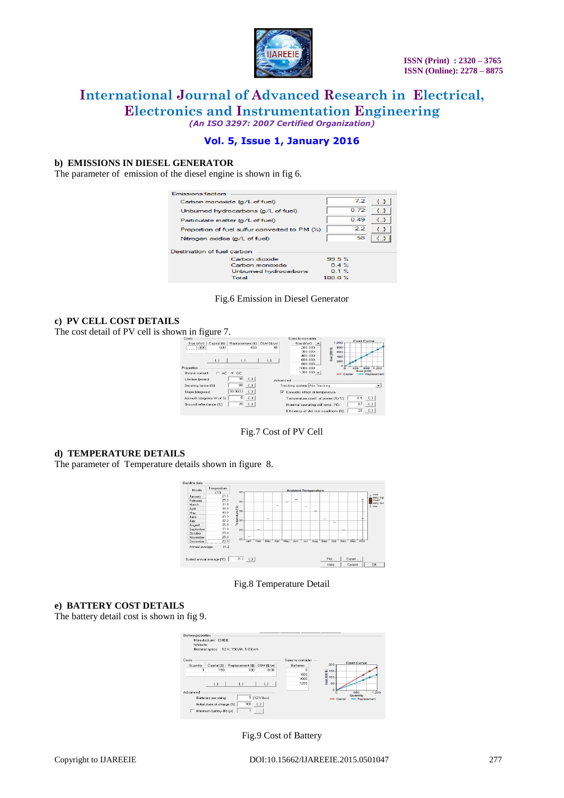

**Vol. 5, Issue 1, January 2016**

### **b) EMISSIONS IN DIESEL GENERATOR**

The parameter of emission of the diesel engine is shown in fig 6.

| Emissions factors                             |              |
|-----------------------------------------------|--------------|
| Carbon monoxide (g/L of fuel)                 | 72<br>€}     |
| Unbumed hydrocarbons (g/L of fuel)            | 0.72<br>ŁΣ   |
| Particulate matter (g/L of fuel)              | 0.49<br>€D   |
| Proportion of fuel sulfur converted to PM (%) | 22<br>₹}     |
| Nitrogen oxides (g/L of fuel)                 | 58           |
| Destination of fuel carbon                    |              |
| Carbon dioxide                                | 99.5%        |
| Carbon monoxide                               | $0.4 \times$ |
| Unbumed hydrocarbons                          | 01%          |
| Total                                         | 100 $0.35$   |
|                                               |              |

Fig.6 Emission in Diesel Generator

#### **c) PV CELL COST DETAILS**

The cost detail of PV cell is shown in figure 7.



Fig.7 Cost of PV Cell

#### **d) TEMPERATURE DETAILS**

The parameter of Temperature details shown in figure 8.



Fig.8 Temperature Detail

#### **e) BATTERY COST DETAILS**

The battery detail cost is shown in fig 9.

| Costs           |                      | Nominal specs: 12 V, 150 Ah, 1.8 kWh |                      | Sizes to consider               |                                                            |
|-----------------|----------------------|--------------------------------------|----------------------|---------------------------------|------------------------------------------------------------|
| <b>Quantity</b> | Capital (\$)         | Replacement (\$)                     | 0&M (\$/vr)          | <b>Batteries</b>                | <b>Cost Curve</b><br>200                                   |
|                 | 150<br>(.3)          | 100<br>$\left\{ ., \right\}$         | 8.00<br>$\{\ldots\}$ | $\Omega$<br>800<br>1000<br>1200 | $\frac{6}{8}$ 150<br>$\frac{8}{8}$ 100<br>$\frac{8}{8}$ 50 |
| Advanced        | Batteries per string |                                      | $1$ [12 V bus]       |                                 | eoo<br>1,200<br>Quantity<br>Capital<br>Replacement         |

Fig.9 Cost of Battery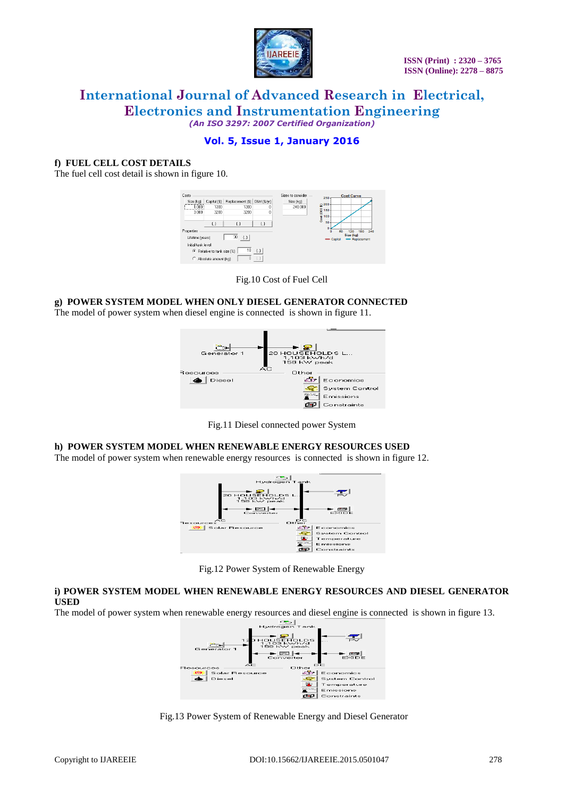

# **Vol. 5, Issue 1, January 2016**

#### **f) FUEL CELL COST DETAILS**

The fuel cell cost detail is shown in figure 10.



#### Fig.10 Cost of Fuel Cell

#### **g) POWER SYSTEM MODEL WHEN ONLY DIESEL GENERATOR CONNECTED**

The model of power system when diesel engine is connected is shown in figure 11.



Fig.11 Diesel connected power System

#### **h) POWER SYSTEM MODEL WHEN RENEWABLE ENERGY RESOURCES USED**

The model of power system when renewable energy resources is connected is shown in figure 12.





#### **i) POWER SYSTEM MODEL WHEN RENEWABLE ENERGY RESOURCES AND DIESEL GENERATOR USED**

The model of power system when renewable energy resources and diesel engine is connected is shown in figure 13.



Fig.13 Power System of Renewable Energy and Diesel Generator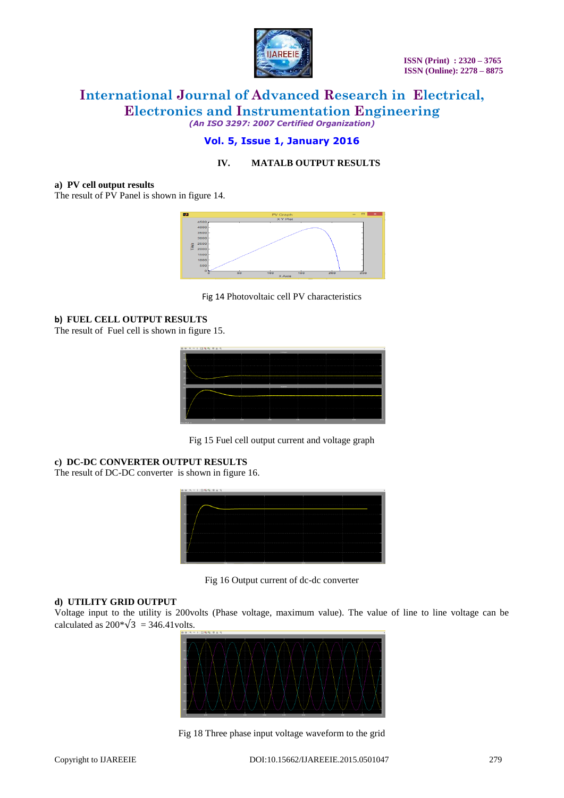

# **Vol. 5, Issue 1, January 2016**

## **IV. MATALB OUTPUT RESULTS**

#### **a) PV cell output results**

The result of PV Panel is shown in figure 14.



Fig 14 Photovoltaic cell PV characteristics

#### **b) FUEL CELL OUTPUT RESULTS**

The result of Fuel cell is shown in figure 15.



Fig 15 Fuel cell output current and voltage graph

## **c) DC-DC CONVERTER OUTPUT RESULTS**

The result of DC-DC converter is shown in figure 16.



Fig 16 Output current of dc-dc converter

### **d) UTILITY GRID OUTPUT**

Voltage input to the utility is 200volts (Phase voltage, maximum value). The value of line to line voltage can be calculated as  $200*\sqrt{3} = 346.41$  volts.



Fig 18 Three phase input voltage waveform to the grid